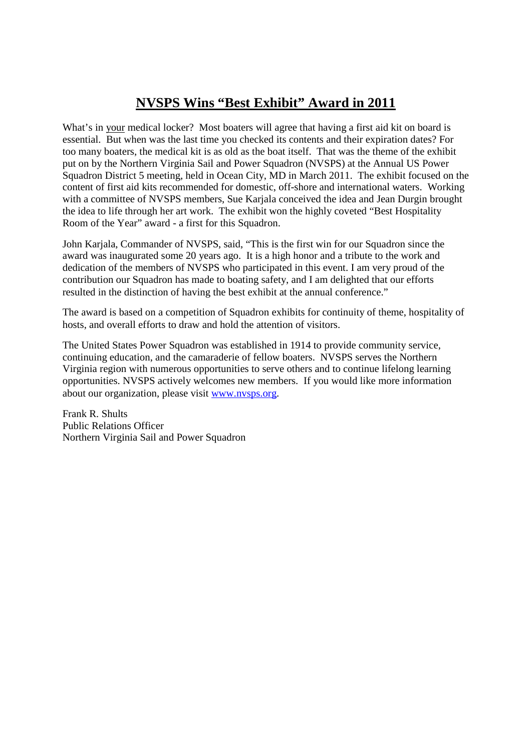## **NVSPS Wins "Best Exhibit" Award in 2011**

What's in your medical locker? Most boaters will agree that having a first aid kit on board is essential. But when was the last time you checked its contents and their expiration dates? For too many boaters, the medical kit is as old as the boat itself. That was the theme of the exhibit put on by the Northern Virginia Sail and Power Squadron (NVSPS) at the Annual US Power Squadron District 5 meeting, held in Ocean City, MD in March 2011. The exhibit focused on the content of first aid kits recommended for domestic, off-shore and international waters. Working with a committee of NVSPS members, Sue Karjala conceived the idea and Jean Durgin brought the idea to life through her art work. The exhibit won the highly coveted "Best Hospitality Room of the Year" award - a first for this Squadron.

John Karjala, Commander of NVSPS, said, "This is the first win for our Squadron since the award was inaugurated some 20 years ago. It is a high honor and a tribute to the work and dedication of the members of NVSPS who participated in this event. I am very proud of the contribution our Squadron has made to boating safety, and I am delighted that our efforts resulted in the distinction of having the best exhibit at the annual conference."

The award is based on a competition of Squadron exhibits for continuity of theme, hospitality of hosts, and overall efforts to draw and hold the attention of visitors.

The United States Power Squadron was established in 1914 to provide community service, continuing education, and the camaraderie of fellow boaters. NVSPS serves the Northern Virginia region with numerous opportunities to serve others and to continue lifelong learning opportunities. NVSPS actively welcomes new members. If you would like more information about our organization, please visit www.nvsps.org.

Frank R. Shults Public Relations Officer Northern Virginia Sail and Power Squadron